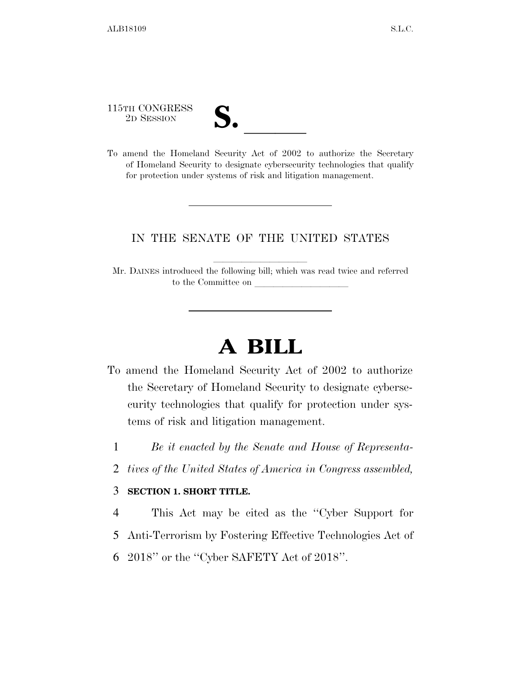115TH CONGRESS

| $\mathbf{v}$<br>$\overline{\mathsf{v}}$ |  |
|-----------------------------------------|--|
|                                         |  |

115TH CONGRESS<br>
2D SESSION<br>
To amend the Homeland Security Act of 2002 to authorize the Secretary of Homeland Security to designate cybersecurity technologies that qualify for protection under systems of risk and litigation management.

## IN THE SENATE OF THE UNITED STATES

Mr. DAINES introduced the following bill; which was read twice and referred to the Committee on

## **A BILL**

- To amend the Homeland Security Act of 2002 to authorize the Secretary of Homeland Security to designate cybersecurity technologies that qualify for protection under systems of risk and litigation management.
	- 1 *Be it enacted by the Senate and House of Representa-*
	- 2 *tives of the United States of America in Congress assembled,*

## 3 **SECTION 1. SHORT TITLE.**

- 4 This Act may be cited as the ''Cyber Support for
- 5 Anti-Terrorism by Fostering Effective Technologies Act of
- 6 2018'' or the ''Cyber SAFETY Act of 2018''.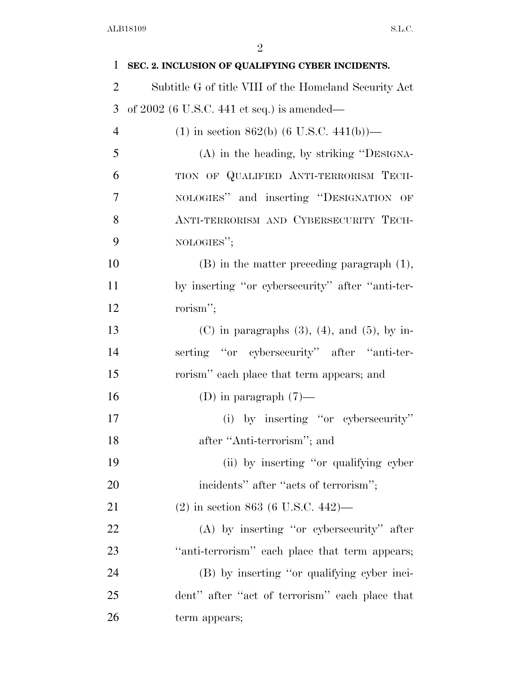| $\mathbf{1}$   | SEC. 2. INCLUSION OF QUALIFYING CYBER INCIDENTS.       |
|----------------|--------------------------------------------------------|
| $\overline{2}$ | Subtitle G of title VIII of the Homeland Security Act  |
| 3              | of $2002$ (6 U.S.C. 441 et seq.) is amended—           |
| $\overline{4}$ | $(1)$ in section 862(b) (6 U.S.C. 441(b))—             |
| 5              | (A) in the heading, by striking "DESIGNA-              |
| 6              | TION OF QUALIFIED ANTI-TERRORISM TECH-                 |
| 7              | NOLOGIES" and inserting "DESIGNATION OF                |
| 8              | ANTI-TERRORISM AND CYBERSECURITY TECH-                 |
| 9              | NOLOGIES";                                             |
| 10             | $(B)$ in the matter preceding paragraph $(1)$ ,        |
| 11             | by inserting "or cybersecurity" after "anti-ter-       |
| 12             | rorism";                                               |
| 13             | $(C)$ in paragraphs $(3)$ , $(4)$ , and $(5)$ , by in- |
| 14             | serting "or cybersecurity" after "anti-ter-            |
| 15             | rorism" each place that term appears; and              |
| 16             | (D) in paragraph $(7)$ —                               |
| 17             | (i) by inserting "or cybersecurity"                    |
| 18             | after "Anti-terrorism"; and                            |
| 19             | (ii) by inserting "or qualifying cyber                 |
| 20             | incidents" after "acts of terrorism";                  |
| 21             | $(2)$ in section 863 (6 U.S.C. 442)—                   |
| 22             | $(A)$ by inserting "or cybersecurity" after            |
| 23             | "anti-terrorism" each place that term appears;         |
| 24             | (B) by inserting "or qualifying cyber inci-            |
| 25             | dent" after "act of terrorism" each place that         |
| 26             | term appears;                                          |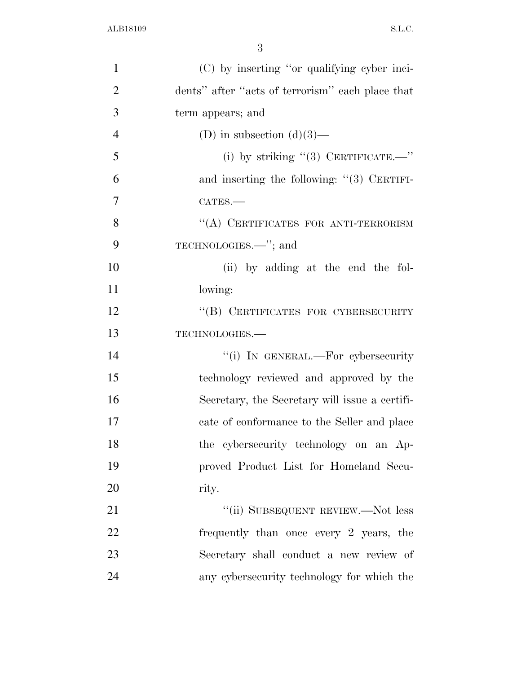| $\mathbf{1}$   | (C) by inserting "or qualifying cyber inci-      |
|----------------|--------------------------------------------------|
| $\overline{2}$ | dents" after "acts of terrorism" each place that |
| 3              | term appears; and                                |
| $\overline{4}$ | (D) in subsection $(d)(3)$ —                     |
| 5              | (i) by striking "(3) CERTIFICATE.—"              |
| 6              | and inserting the following: $"(3)$ CERTIFI-     |
| $\tau$         | CATES.-                                          |
| 8              | "(A) CERTIFICATES FOR ANTI-TERRORISM             |
| 9              | TECHNOLOGIES. <sup>"</sup> ; and                 |
| 10             | (ii) by adding at the end the fol-               |
| 11             | lowing:                                          |
| 12             | "(B) CERTIFICATES FOR CYBERSECURITY              |
| 13             | TECHNOLOGIES.-                                   |
| 14             | "(i) IN GENERAL.—For cybersecurity               |
| 15             | technology reviewed and approved by the          |
| 16             | Secretary, the Secretary will issue a certifi-   |
| 17             | cate of conformance to the Seller and place      |
| 18             | the cybersecurity technology on an Ap-           |
| 19             | proved Product List for Homeland Secu-           |
| 20             | rity.                                            |
| 21             | "(ii) SUBSEQUENT REVIEW.—Not less                |
| 22             | frequently than once every 2 years, the          |
| 23             | Secretary shall conduct a new review of          |
| 24             | any cybersecurity technology for which the       |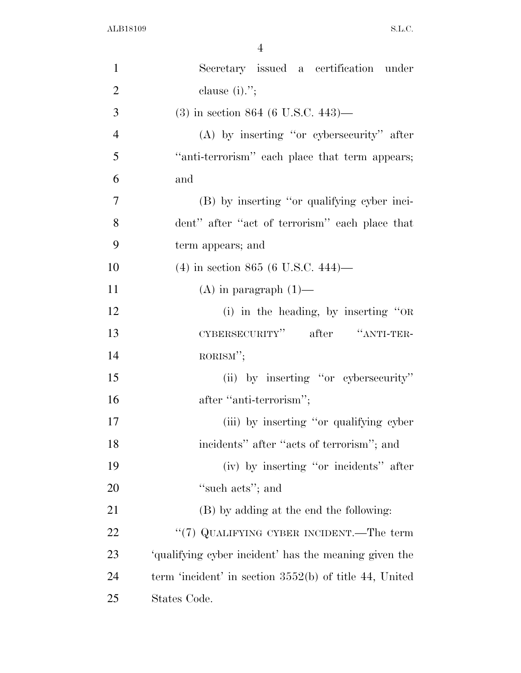| $\mathbf{1}$   | Secretary issued a certification under                   |
|----------------|----------------------------------------------------------|
| $\overline{2}$ | clause $(i)$ .";                                         |
| 3              | $(3)$ in section 864 (6 U.S.C. 443)—                     |
| $\overline{4}$ | $(A)$ by inserting "or cybersecurity" after              |
| 5              | "anti-terrorism" each place that term appears;           |
| 6              | and                                                      |
| 7              | (B) by inserting "or qualifying cyber inci-              |
| 8              | dent" after "act of terrorism" each place that           |
| 9              | term appears; and                                        |
| 10             | $(4)$ in section 865 (6 U.S.C. 444)—                     |
| 11             | $(A)$ in paragraph $(1)$ —                               |
| 12             | (i) in the heading, by inserting "OR                     |
| 13             | CYBERSECURITY" after "ANTI-TER-                          |
| 14             | RORISM";                                                 |
| 15             | (ii) by inserting "or cybersecurity"                     |
| 16             | after "anti-terrorism";                                  |
| 17             | (iii) by inserting "or qualifying cyber                  |
| 18             | incidents" after "acts of terrorism"; and                |
| 19             | (iv) by inserting "or incidents" after                   |
| 20             | "such acts"; and                                         |
| 21             | (B) by adding at the end the following:                  |
| 22             | "(7) QUALIFYING CYBER INCIDENT.—The term                 |
| 23             | 'qualifying cyber incident' has the meaning given the    |
| 24             | term 'incident' in section $3552(b)$ of title 44, United |
| 25             | States Code.                                             |